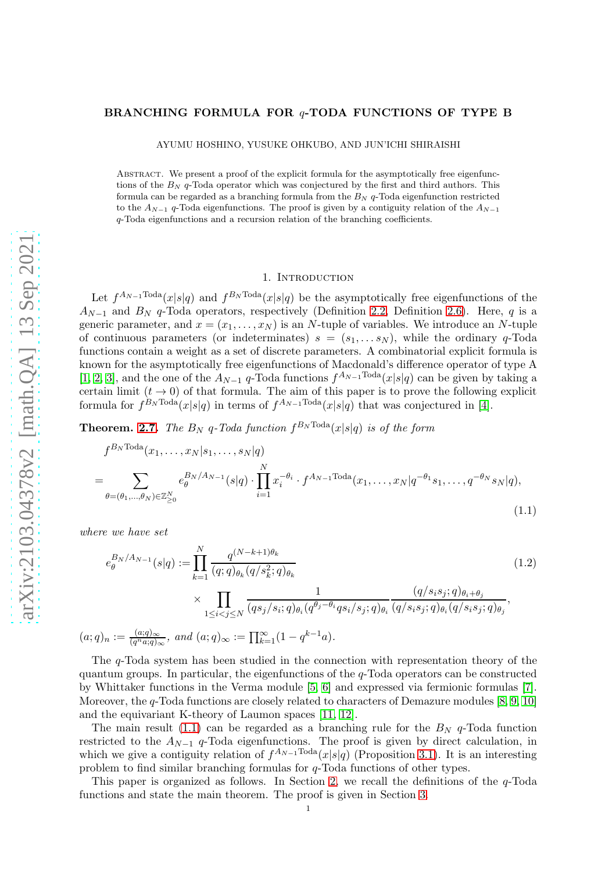## BRANCHING FORMULA FOR q-TODA FUNCTIONS OF TYPE B

AYUMU HOSHINO, YUSUKE OHKUBO, AND JUN'ICHI SHIRAISHI

ABSTRACT. We present a proof of the explicit formula for the asymptotically free eigenfunctions of the  $B_N$  q-Toda operator which was conjectured by the first and third authors. This formula can be regarded as a branching formula from the  $B_N$  q-Toda eigenfunction restricted to the  $A_{N-1}$  q-Toda eigenfunctions. The proof is given by a contiguity relation of the  $A_{N-1}$ q-Toda eigenfunctions and a recursion relation of the branching coefficients.

## <span id="page-0-0"></span>1. INTRODUCTION

Let  $f^{A_{N-1} \text{Toda}}(x|s|q)$  and  $f^{B_N \text{Toda}}(x|s|q)$  be the asymptotically free eigenfunctions of the  $A_{N-1}$  and  $B_N$  q-Toda operators, respectively (Definition [2.2,](#page-1-0) Definition [2.6\)](#page-2-0). Here, q is a generic parameter, and  $x = (x_1, \ldots, x_N)$  is an N-tuple of variables. We introduce an N-tuple of continuous parameters (or indeterminates)  $s = (s_1, \ldots s_N)$ , while the ordinary q-Toda functions contain a weight as a set of discrete parameters. A combinatorial explicit formula is known for the asymptotically free eigenfunctions of Macdonald's difference operator of type A [\[1,](#page-5-0) [2,](#page-5-1) [3\]](#page-5-2), and the one of the  $A_{N-1}$  q-Toda functions  $f^{A_{N-1} \text{Total}}(x|s|q)$  can be given by taking a certain limit  $(t \to 0)$  of that formula. The aim of this paper is to prove the following explicit formula for  $f^{B_N \text{Total}}(x|s|q)$  in terms of  $f^{A_{N-1} \text{Total}}(x|s|q)$  that was conjectured in [\[4\]](#page-5-3).

**Theorem.** [2.7.](#page-2-1) The  $B_N$  q-Toda function  $f^{B_N \text{Total}}(x|s|q)$  is of the form

$$
f^{B_N \text{Toda}}(x_1, \dots, x_N | s_1, \dots, s_N | q)
$$
  
= 
$$
\sum_{\theta = (\theta_1, \dots, \theta_N) \in \mathbb{Z}_{\geq 0}^N} e_{\theta}^{B_N/A_{N-1}}(s|q) \cdot \prod_{i=1}^N x_i^{-\theta_i} \cdot f^{A_{N-1} \text{Toda}}(x_1, \dots, x_N | q^{-\theta_1} s_1, \dots, q^{-\theta_N} s_N | q),
$$
\n(1.1)

where we have set

$$
e_{\theta}^{B_N/A_{N-1}}(s|q) := \prod_{k=1}^{N} \frac{q^{(N-k+1)\theta_k}}{(q;q)_{\theta_k}(q/s_k^2;q)_{\theta_k}} \times \prod_{1 \le i < j \le N} \frac{1}{(qs_j/s_i;q)_{\theta_i}(q^{\theta_j-\theta_i}qs_i/s_j;q)_{\theta_i}} \frac{(q/s_is_j;q)_{\theta_i+\theta_j}}{(q/s_is_j;q)_{\theta_i}(q/s_is_j;q)_{\theta_j}},
$$
  
\n
$$
(a;q)_n := \frac{(a;q)_{\infty}}{(q^n a;q)_{\infty}}, \text{ and } (a;q)_{\infty} := \prod_{k=1}^{\infty} (1-q^{k-1}a).
$$
\n(1.2)

The q-Toda system has been studied in the connection with representation theory of the quantum groups. In particular, the eigenfunctions of the  $q$ -Toda operators can be constructed by Whittaker functions in the Verma module [\[5,](#page-5-4) [6\]](#page-5-5) and expressed via fermionic formulas [\[7\]](#page-5-6). Moreover, the q-Toda functions are closely related to characters of Demazure modules [\[8,](#page-5-7) [9,](#page-5-8) [10\]](#page-6-0) and the equivariant K-theory of Laumon spaces [\[11,](#page-6-1) [12\]](#page-6-2).

The main result [\(1.1\)](#page-0-0) can be regarded as a branching rule for the  $B_N$  q-Toda function restricted to the  $A_{N-1}$  q-Toda eigenfunctions. The proof is given by direct calculation, in which we give a contiguity relation of  $f^{A_{N-1} \text{Total}}(x|s|q)$  (Proposition [3.1\)](#page-3-0). It is an interesting problem to find similar branching formulas for q-Toda functions of other types.

This paper is organized as follows. In Section [2,](#page-1-1) we recall the definitions of the q-Toda functions and state the main theorem. The proof is given in Section [3.](#page-3-1)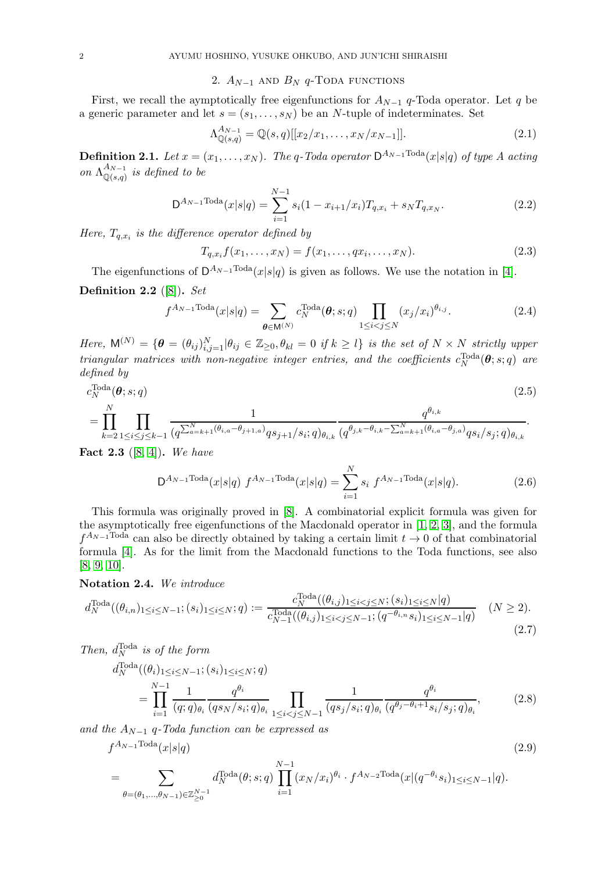# 2.  $A_{N-1}$  and  $B_N$  q-Toda functions

<span id="page-1-1"></span>First, we recall the aymptotically free eigenfunctions for  $A_{N-1}$  q-Toda operator. Let q be a generic parameter and let  $s = (s_1, \ldots, s_N)$  be an N-tuple of indeterminates. Set

$$
\Lambda_{\mathbb{Q}(s,q)}^{A_{N-1}} = \mathbb{Q}(s,q)[[x_2/x_1,\ldots,x_N/x_{N-1}]].
$$
\n(2.1)

**Definition 2.1.** Let  $x = (x_1, \ldots, x_N)$ . The q-Toda operator  $D^{A_{N-1}}$  Toda $(x|s|q)$  of type A acting on  $\Lambda^{A_{N-1}}_{\bigcirc(s,a)}$  $\mathbb{Q}(s,q)$  is defined to be

$$
D^{A_{N-1} \text{Total}}(x|s|q) = \sum_{i=1}^{N-1} s_i (1 - x_{i+1}/x_i) T_{q,x_i} + s_N T_{q,x_N}.
$$
 (2.2)

Here,  $T_{q,x_i}$  is the difference operator defined by

$$
T_{q,x_i}f(x_1,\ldots,x_N) = f(x_1,\ldots,qx_i,\ldots,x_N). \tag{2.3}
$$

<span id="page-1-0"></span>The eigenfunctions of  $D^{A_{N-1} \text{Total}}(x|s|q)$  is given as follows. We use the notation in [\[4\]](#page-5-3). Definition 2.2  $([8])$  $([8])$  $([8])$ . Set

$$
f^{A_{N-1}\text{Toda}}(x|s|q) = \sum_{\theta \in \mathsf{M}^{(N)}} c_N^{\text{Toda}}(\theta; s; q) \prod_{1 \le i < j \le N} (x_j/x_i)^{\theta_{i,j}}.\tag{2.4}
$$

Here,  $\mathsf{M}^{(N)} = \{ \boldsymbol{\theta} = (\theta_{ij})_{i,j=1}^N | \theta_{ij} \in \mathbb{Z}_{\geq 0}, \theta_{kl} = 0 \text{ if } k \geq l \}$  is the set of  $N \times N$  strictly upper triangular matrices with non-negative integer entries, and the coefficients  $c_N^{\text{Total}}(\boldsymbol{\theta};s;q)$  are defined by

$$
c_N^{\text{Total}}(\boldsymbol{\theta};s;q) \tag{2.5}
$$

$$
= \prod_{k=2}^{N} \prod_{1 \leq i \leq j \leq k-1} \frac{1}{(q^{\sum_{a=k+1}^{N} (\theta_{i,a} - \theta_{j+1,a})} q s_{j+1} / s_i; q)_{\theta_{i,k}}} \frac{q^{\theta_{i,k}}}{(q^{\theta_{j,k} - \theta_{i,k} - \sum_{a=k+1}^{N} (\theta_{i,a} - \theta_{j,a})} q s_i / s_j; q)_{\theta_{i,k}}}.
$$

<span id="page-1-3"></span>**Fact 2.3** ([\[8,](#page-5-7) [4\]](#page-5-3)). We have

$$
D^{A_{N-1} \text{Total}}(x|s|q) f^{A_{N-1} \text{Total}}(x|s|q) = \sum_{i=1}^{N} s_i f^{A_{N-1} \text{Total}}(x|s|q). \tag{2.6}
$$

This formula was originally proved in [\[8\]](#page-5-7). A combinatorial explicit formula was given for the asymptotically free eigenfunctions of the Macdonald operator in [\[1,](#page-5-0) [2,](#page-5-1) [3\]](#page-5-2), and the formula  $f^{A_{N-1} \text{Total}}$  can also be directly obtained by taking a certain limit  $t \to 0$  of that combinatorial formula [\[4\]](#page-5-3). As for the limit from the Macdonald functions to the Toda functions, see also [\[8,](#page-5-7) [9,](#page-5-8) [10\]](#page-6-0).

## Notation 2.4. We introduce

$$
d_N^{\text{Total}}((\theta_{i,n})_{1 \le i \le N-1}; (s_i)_{1 \le i \le N}; q) := \frac{c_N^{\text{Total}}((\theta_{i,j})_{1 \le i < j \le N}; (s_i)_{1 \le i \le N} | q)}{c_{N-1}^{\text{Total}}((\theta_{i,j})_{1 \le i < j \le N-1}; (q^{-\theta_{i,n}} s_i)_{1 \le i \le N-1} | q)} \quad (N \ge 2).
$$
\n(2.7)

Then, 
$$
d_N^{\text{Total}} \text{ is of the form}
$$
  
\n
$$
d_N^{\text{Total}}((\theta_i)_{1 \le i \le N-1}; (s_i)_{1 \le i \le N}; q)
$$
\n
$$
= \prod_{i=1}^{N-1} \frac{1}{(q; q)_{\theta_i}} \frac{q^{\theta_i}}{(qs_N/s_i; q)_{\theta_i}} \prod_{1 \le i < j \le N-1} \frac{1}{(qs_j/s_i; q)_{\theta_i}} \frac{q^{\theta_i}}{(q^{\theta_j - \theta_i + 1} s_i/s_j; q)_{\theta_i}},
$$
\n(2.8)

and the  $A_{N-1}$  q-Toda function can be expressed as

$$
f^{A_{N-1}\text{Total}}(x|s|q) \tag{2.9}
$$

<span id="page-1-2"></span>
$$
= \sum_{\theta = (\theta_1, \dots, \theta_{N-1}) \in \mathbb{Z}_{\geq 0}^{N-1}} d_N^{\text{Total}}(\theta; s; q) \prod_{i=1}^{N-1} (x_N/x_i)^{\theta_i} \cdot f^{A_{N-2} \text{Total}}(x | (q^{-\theta_i} s_i)_{1 \leq i \leq N-1} | q).
$$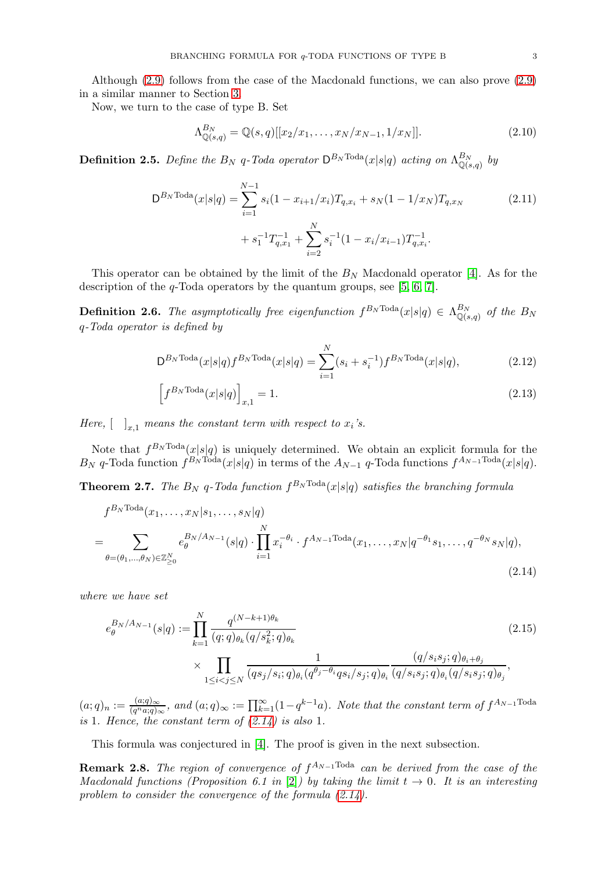Although [\(2.9\)](#page-1-2) follows from the case of the Macdonald functions, we can also prove [\(2.9\)](#page-1-2) in a similar manner to Section [3.](#page-3-1)

Now, we turn to the case of type B. Set

$$
\Lambda_{\mathbb{Q}(s,q)}^{B_N} = \mathbb{Q}(s,q)[[x_2/x_1,\ldots,x_N/x_{N-1},1/x_N]].
$$
\n(2.10)

**Definition 2.5.** Define the  $B_N$  q-Toda operator  $\mathsf{D}^{B_N\text{Toda}}(x|s|q)$  acting on  $\Lambda^{B_N}_{\mathbb{Q}(s)}$  $\int_{\mathbb{Q}(s,q)}^{D_N} by$ 

$$
D^{B_N \text{Toda}}(x|s|q) = \sum_{i=1}^{N-1} s_i (1 - x_{i+1}/x_i) T_{q,x_i} + s_N (1 - 1/x_N) T_{q,x_N}
$$
\n
$$
+ s_1^{-1} T_{q,x_1}^{-1} + \sum_{i=2}^N s_i^{-1} (1 - x_i/x_{i-1}) T_{q,x_i}^{-1}.
$$
\n(2.11)

This operator can be obtained by the limit of the  $B_N$  Macdonald operator [\[4\]](#page-5-3). As for the description of the q-Toda operators by the quantum groups, see [\[5,](#page-5-4) [6,](#page-5-5) [7\]](#page-5-6).

<span id="page-2-0"></span>**Definition 2.6.** The asymptotically free eigenfunction  $f^{B_N\text{Toda}}(x|s|q) \in \Lambda^{B_N}_{\mathbb{Q}(s)}$  $\mathbb{Q}_{(s,q)}^{B_N}$  of the  $B_N$ q-Toda operator is defined by

$$
D^{B_N \text{Toda}}(x|s|q) f^{B_N \text{Toda}}(x|s|q) = \sum_{i=1}^{N} (s_i + s_i^{-1}) f^{B_N \text{Toda}}(x|s|q), \tag{2.12}
$$

<span id="page-2-2"></span>
$$
\[f^{B_N \text{Toda}}(x|s|q)\]_{x,1} = 1.\tag{2.13}
$$

Here,  $\left[\begin{array}{c} \n\end{array}\right]_{x,1}$  means the constant term with respect to  $x_i$ 's.

Note that  $f^{B_N \text{Toda}}(x|s|q)$  is uniquely determined. We obtain an explicit formula for the  $B_N$  q-Toda function  $f^{B_N \text{Total}}(x|s|q)$  in terms of the  $A_{N-1}$  q-Toda functions  $f^{A_{N-1} \text{Total}}(x|s|q)$ .

<span id="page-2-1"></span>**Theorem 2.7.** The  $B_N$  q-Toda function  $f^{B_N \text{Toda}}(x|s|q)$  satisfies the branching formula

$$
f^{B_N \text{Toda}}(x_1, ..., x_N | s_1, ..., s_N | q)
$$
  
= 
$$
\sum_{\theta = (\theta_1, ..., \theta_N) \in \mathbb{Z}_{\geq 0}^N} e_{\theta}^{B_N/A_{N-1}}(s|q) \cdot \prod_{i=1}^N x_i^{-\theta_i} \cdot f^{A_{N-1} \text{Toda}}(x_1, ..., x_N | q^{-\theta_1} s_1, ..., q^{-\theta_N} s_N | q),
$$
\n(2.14)

where we have set

<span id="page-2-3"></span>
$$
e_{\theta}^{B_N/A_{N-1}}(s|q) := \prod_{k=1}^{N} \frac{q^{(N-k+1)\theta_k}}{(q;q)_{\theta_k}(q/s_k^2;q)_{\theta_k}} \qquad (2.15)
$$
  
 
$$
\times \prod_{1 \le i < j \le N} \frac{1}{(qs_j/s_i;q)_{\theta_i}(q^{\theta_j-\theta_i}qs_i/s_j;q)_{\theta_i}} \frac{(q/s_is_j;q)_{\theta_i+\theta_j}}{(q/s_is_j;q)_{\theta_i}(q/s_is_j;q)_{\theta_j}},
$$

 $(a;q)_n := \frac{(a;q)_{\infty}}{(q^na;q)_\infty}$  $\frac{(a;q)_{\infty}}{(q^na;q)_{\infty}}$ , and  $(a;q)_{\infty} := \prod_{k=1}^{\infty} (1-q^{k-1}a)$ . Note that the constant term of  $f^{A_{N-1}}$ Toda is 1. Hence, the constant term of  $(2.14)$  is also 1.

This formula was conjectured in [\[4\]](#page-5-3). The proof is given in the next subsection.

**Remark 2.8.** The region of convergence of  $f^{A_{N-1} \text{Toda}}$  can be derived from the case of the Macdonald functions (Proposition 6.1 in [\[2\]](#page-5-1)) by taking the limit  $t \to 0$ . It is an interesting problem to consider the convergence of the formula  $(2.14)$ .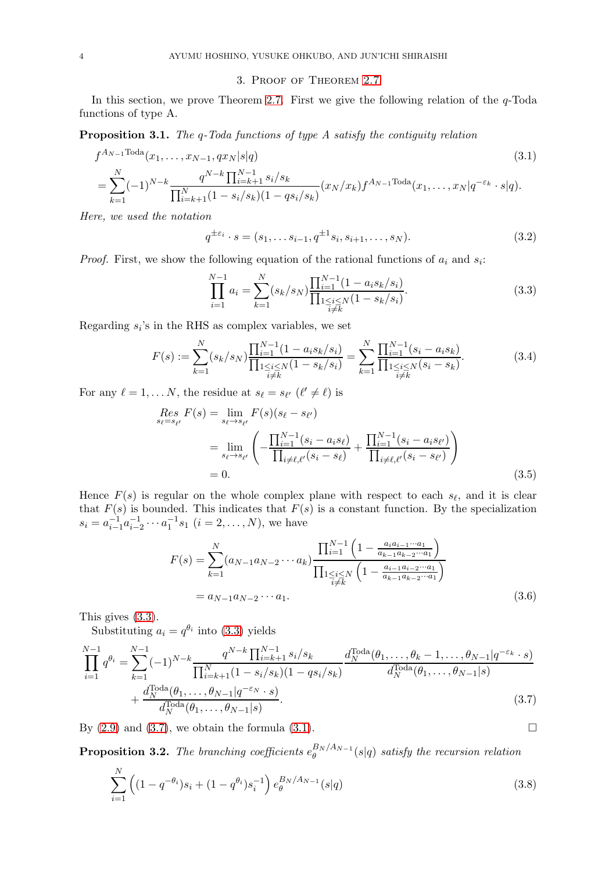## <span id="page-3-4"></span>3. Proof of Theorem [2.7](#page-2-1)

<span id="page-3-1"></span>In this section, we prove Theorem [2.7.](#page-2-1) First we give the following relation of the  $q$ -Toda functions of type A.

<span id="page-3-0"></span>Proposition 3.1. The q-Toda functions of type A satisfy the contiguity relation

$$
f^{A_{N-1}\text{Total}}(x_1, \dots, x_{N-1}, qx_N|s|q)
$$
\n
$$
= \sum_{k=1}^N (-1)^{N-k} \frac{q^{N-k} \prod_{i=k+1}^{N-1} s_i/s_k}{\prod_{i=k+1}^N (1-s_i/s_k)(1-qs_i/s_k)} (x_N/x_k) f^{A_{N-1}\text{Total}}(x_1, \dots, x_N|q^{-\varepsilon_k} \cdot s|q).
$$
\n(3.1)

Here, we used the notation

$$
q^{\pm \varepsilon_i} \cdot s = (s_1, \dots s_{i-1}, q^{\pm 1} s_i, s_{i+1}, \dots, s_N). \tag{3.2}
$$

*Proof.* First, we show the following equation of the rational functions of  $a_i$  and  $s_i$ :

<span id="page-3-2"></span>
$$
\prod_{i=1}^{N-1} a_i = \sum_{k=1}^{N} (s_k/s_N) \frac{\prod_{i=1}^{N-1} (1 - a_i s_k/s_i)}{\prod_{\substack{1 \le i \le N \\ i \ne k}} (1 - s_k/s_i)}.
$$
\n(3.3)

Regarding  $s_i$ 's in the RHS as complex variables, we set

$$
F(s) := \sum_{k=1}^{N} (s_k/s_N) \frac{\prod_{i=1}^{N-1} (1 - a_i s_k/s_i)}{\prod_{\substack{1 \le i \le N \\ i \ne k}} (1 - s_k/s_i)} = \sum_{k=1}^{N} \frac{\prod_{i=1}^{N-1} (s_i - a_i s_k)}{\prod_{\substack{1 \le i \le N \\ i \ne k}} (s_i - s_k)}.
$$
(3.4)

For any  $\ell = 1, \ldots N$ , the residue at  $s_{\ell} = s_{\ell'}$   $(\ell' \neq \ell)$  is

$$
Res_{s_{\ell}=s_{\ell'}} F(s) = \lim_{s_{\ell}\to s_{\ell'}} F(s)(s_{\ell}-s_{\ell'})
$$
  
= 
$$
\lim_{s_{\ell}\to s_{\ell'}} \left( -\frac{\prod_{i=1}^{N-1} (s_i - a_i s_{\ell})}{\prod_{i\neq \ell,\ell'} (s_i - s_{\ell})} + \frac{\prod_{i=1}^{N-1} (s_i - a_i s_{\ell'})}{\prod_{i\neq \ell,\ell'} (s_i - s_{\ell'})} \right)
$$
  
= 0. (3.5)

Hence  $F(s)$  is regular on the whole complex plane with respect to each  $s_{\ell}$ , and it is clear that  $F(s)$  is bounded. This indicates that  $F(s)$  is a constant function. By the specialization  $s_i = a_{i-1}^{-1}a_{i-2}^{-1} \cdots a_1^{-1}s_1$   $(i = 2, \ldots, N)$ , we have

<span id="page-3-3"></span>
$$
F(s) = \sum_{k=1}^{N} (a_{N-1}a_{N-2}\cdots a_k) \frac{\prod_{i=1}^{N-1} \left(1 - \frac{a_i a_{i-1}\cdots a_1}{a_{k-1}a_{k-2}\cdots a_1}\right)}{\prod_{\substack{1 \le i \le N \\ i \ne k}} \left(1 - \frac{a_{i-1}a_{i-2}\cdots a_1}{a_{k-1}a_{k-2}\cdots a_1}\right)}
$$
  
=  $a_{N-1}a_{N-2}\cdots a_1.$  (3.6)

This gives [\(3.3\)](#page-3-2).

Substituting  $a_i = q^{\theta_i}$  into [\(3.3\)](#page-3-2) yields

$$
\prod_{i=1}^{N-1} q^{\theta_i} = \sum_{k=1}^{N-1} (-1)^{N-k} \frac{q^{N-k} \prod_{i=k+1}^{N-1} s_i/s_k}{\prod_{i=k+1}^{N} (1 - s_i/s_k)(1 - qs_i/s_k)} \frac{d_N^{\text{Total}}(\theta_1, \dots, \theta_k - 1, \dots, \theta_{N-1} | q^{-\varepsilon_k} \cdot s)}{d_N^{\text{Total}}(\theta_1, \dots, \theta_{N-1} | s)} + \frac{d_N^{\text{Total}}(\theta_1, \dots, \theta_{N-1} | q^{-\varepsilon_N} \cdot s)}{d_N^{\text{Total}}(\theta_1, \dots, \theta_{N-1} | s)}.
$$
\n(3.7)

By  $(2.9)$  and  $(3.7)$ , we obtain the formula  $(3.1)$ .

<span id="page-3-6"></span>**Proposition 3.2.** The branching coefficients  $e_{\theta}^{B_N/A_{N-1}}$  $\theta_{\theta}^{DN/AN-1}(s|q)$  satisfy the recursion relation

<span id="page-3-5"></span>
$$
\sum_{i=1}^{N} \left( (1 - q^{-\theta_i}) s_i + (1 - q^{\theta_i}) s_i^{-1} \right) e_{\theta}^{B_N/A_{N-1}}(s|q)
$$
\n(3.8)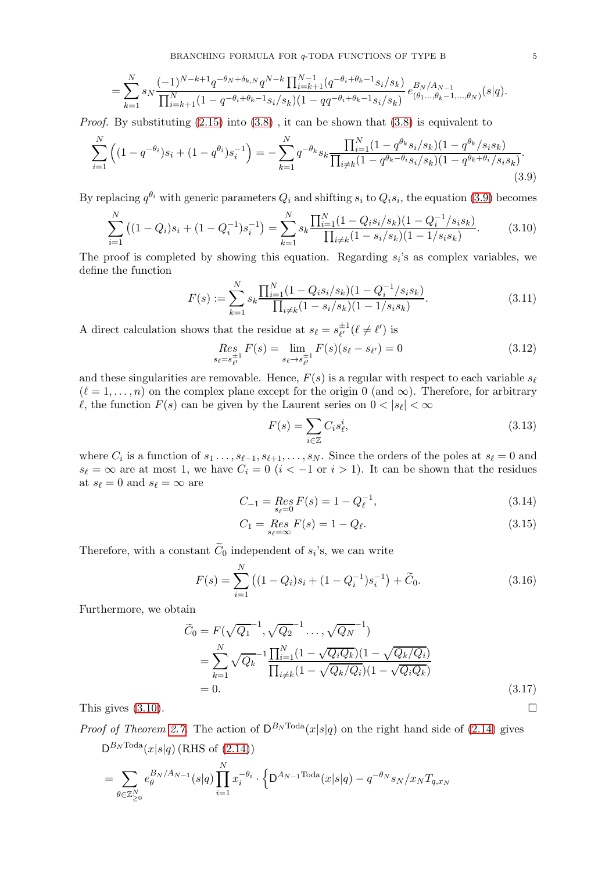$$
= \sum_{k=1}^{N} s_N \frac{(-1)^{N-k+1} q^{-\theta_N + \delta_{k,N}} q^{N-k} \prod_{i=k+1}^{N-1} (q^{-\theta_i + \theta_k - 1} s_i/s_k)}{\prod_{i=k+1}^{N} (1 - q^{-\theta_i + \theta_k - 1} s_i/s_k)(1 - qq^{-\theta_i + \theta_k - 1} s_i/s_k)} e_{(\theta_1 \dots, \theta_k - 1, \dots, \theta_N)}^{B_N/A_{N-1}}(s|q).
$$

*Proof.* By substituting  $(2.15)$  into  $(3.8)$ , it can be shown that  $(3.8)$  is equivalent to

$$
\sum_{i=1}^{N} \left( (1 - q^{-\theta_i}) s_i + (1 - q^{\theta_i}) s_i^{-1} \right) = -\sum_{k=1}^{N} q^{-\theta_k} s_k \frac{\prod_{i=1}^{N} (1 - q^{\theta_k} s_i/s_k)(1 - q^{\theta_k}/s_i s_k)}{\prod_{i \neq k} (1 - q^{\theta_k - \theta_i} s_i/s_k)(1 - q^{\theta_k + \theta_i}/s_i s_k)}.
$$
\n(3.9)

By replacing  $q^{\theta_i}$  with generic parameters  $Q_i$  and shifting  $s_i$  to  $Q_i s_i$ , the equation [\(3.9\)](#page-4-0) becomes

$$
\sum_{i=1}^{N} \left( (1 - Q_i)s_i + (1 - Q_i^{-1})s_i^{-1} \right) = \sum_{k=1}^{N} s_k \frac{\prod_{i=1}^{N} (1 - Q_i s_i/s_k)(1 - Q_i^{-1}/s_i s_k)}{\prod_{i \neq k} (1 - s_i/s_k)(1 - 1/s_i s_k)}.
$$
(3.10)

The proof is completed by showing this equation. Regarding  $s_i$ 's as complex variables, we define the function

<span id="page-4-0"></span>
$$
F(s) := \sum_{k=1}^{N} s_k \frac{\prod_{i=1}^{N} (1 - Q_i s_i / s_k)(1 - Q_i^{-1} / s_i s_k)}{\prod_{i \neq k} (1 - s_i / s_k)(1 - 1 / s_i s_k)}.
$$
\n(3.11)

A direct calculation shows that the residue at  $s_{\ell} = s_{\ell'}^{\pm 1}$  $_{\ell'}^{\pm 1}(\ell \neq \ell')$  is

$$
\mathop{Res}\limits_{s_{\ell}=s_{\ell'}^{\pm 1}} F(s) = \lim_{s_{\ell}\to s_{\ell'}^{\pm 1}} F(s)(s_{\ell}-s_{\ell'}) = 0
$$
\n(3.12)

and these singularities are removable. Hence,  $F(s)$  is a regular with respect to each variable  $s_{\ell}$  $(\ell = 1, \ldots, n)$  on the complex plane except for the origin 0 (and  $\infty$ ). Therefore, for arbitrary  $\ell$ , the function  $F(s)$  can be given by the Laurent series on  $0 < |s_{\ell}| < \infty$ 

<span id="page-4-1"></span>
$$
F(s) = \sum_{i \in \mathbb{Z}} C_i s_\ell^i,\tag{3.13}
$$

where  $C_i$  is a function of  $s_1 \ldots, s_{\ell-1}, s_{\ell+1}, \ldots, s_N$ . Since the orders of the poles at  $s_\ell = 0$  and  $s_{\ell} = \infty$  are at most 1, we have  $C_i = 0$   $(i < -1$  or  $i > 1)$ . It can be shown that the residues at  $s_\ell = 0$  and  $s_\ell = \infty$  are

$$
C_{-1} = \underset{s_{\ell}=0}{\text{Res}} F(s) = 1 - Q_{\ell}^{-1},\tag{3.14}
$$

$$
C_1 = \underset{s_\ell = \infty}{\text{Res}} F(s) = 1 - Q_\ell. \tag{3.15}
$$

Therefore, with a constant  $C_0$  independent of  $s_i$ 's, we can write

$$
F(s) = \sum_{i=1}^{N} \left( (1 - Q_i)s_i + (1 - Q_i^{-1})s_i^{-1} \right) + \widetilde{C}_0.
$$
 (3.16)

Furthermore, we obtain

$$
\widetilde{C}_0 = F(\sqrt{Q_1}^{-1}, \sqrt{Q_2}^{-1}, \dots, \sqrt{Q_N}^{-1})
$$
\n
$$
= \sum_{k=1}^N \sqrt{Q_k}^{-1} \frac{\prod_{i=1}^N (1 - \sqrt{Q_i Q_k})(1 - \sqrt{Q_k / Q_i})}{\prod_{i \neq k} (1 - \sqrt{Q_k / Q_i})(1 - \sqrt{Q_i Q_k})}
$$
\n
$$
= 0.
$$
\nThis gives (3.10).

\n
$$
\Box
$$

*Proof of Theorem [2.7.](#page-2-1)* The action of  $D^{B_N \text{Total}}(x|s|q)$  on the right hand side of [\(2.14\)](#page-2-2) gives  $D^{B_N \text{Total}}(x|s|q)$  (RHS of [\(2.14\)](#page-2-2))

$$
= \sum_{\theta \in \mathbb{Z}_{\geq 0}^N} e_{\theta}^{B_N/A_{N-1}}(s|q) \prod_{i=1}^N x_i^{-\theta_i} \cdot \left\{ \mathbf{D}^{A_{N-1} \text{Toda}}(x|s|q) - q^{-\theta_N} s_N/x_N T_{q,x_N} \right\}
$$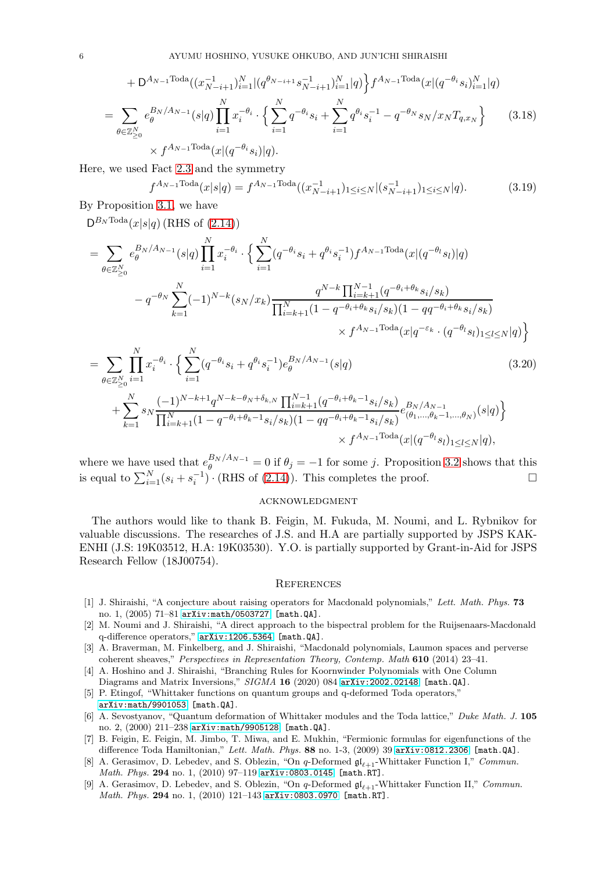$$
+ D^{A_{N-1}\text{Total}}((x_{N-i+1}^{-1})_{i=1}^{N}|(q^{\theta_{N-i+1}}s_{N-i+1}^{-1})_{i=1}^{N}|q) \Big\} f^{A_{N-1}\text{Total}}(x|(q^{-\theta_{i}}s_{i})_{i=1}^{N}|q)
$$
  
= 
$$
\sum_{\theta \in \mathbb{Z}_{\geq 0}^{N}} e_{\theta}^{B_{N}/A_{N-1}}(s|q) \prod_{i=1}^{N} x_{i}^{-\theta_{i}} \cdot \Big\{ \sum_{i=1}^{N} q^{-\theta_{i}}s_{i} + \sum_{i=1}^{N} q^{\theta_{i}}s_{i}^{-1} - q^{-\theta_{N}}s_{N}/x_{N}T_{q,x_{N}} \Big\} \qquad (3.18)
$$
  

$$
\times f^{A_{N-1}\text{Total}}(x|(q^{-\theta_{i}}s_{i})|q).
$$

Here, we used Fact [2.3](#page-1-3) and the symmetry

$$
f^{A_{N-1}\text{Total}}(x|s|q) = f^{A_{N-1}\text{Total}}((x_{N-i+1}^{-1})_{1 \le i \le N} | (s_{N-i+1}^{-1})_{1 \le i \le N} | q). \tag{3.19}
$$

By Proposition [3.1,](#page-3-0) we have

 $\mathsf{D}^{B_N\text{Toda}}(x|s|q)$  (RHS of  $(2.14)$ )

$$
= \sum_{\theta \in \mathbb{Z}_{\geq 0}^N} e_{\theta}^{B_N/A_{N-1}}(s|q) \prod_{i=1}^N x_i^{-\theta_i} \cdot \Big\{ \sum_{i=1}^N (q^{-\theta_i} s_i + q^{\theta_i} s_i^{-1}) f^{A_{N-1} \text{Total}}(x|(q^{-\theta_l} s_l)|q) - q^{-\theta_N} \sum_{k=1}^N (-1)^{N-k} (s_N/x_k) \frac{q^{N-k} \prod_{i=k+1}^{N-1} (q^{-\theta_i + \theta_k} s_i/s_k)}{\prod_{i=k+1}^N (1 - q^{-\theta_i + \theta_k} s_i/s_k)(1 - qq^{-\theta_i + \theta_k} s_i/s_k)} \times f^{A_{N-1} \text{Total}}(x|q^{-\varepsilon_k} \cdot (q^{-\theta_l} s_l)_{1 \leq l \leq N} |q) \Big\}
$$

$$
= \sum_{\theta \in \mathbb{Z}_{\geq 0}^N} \prod_{i=1}^N x_i^{-\theta_i} \cdot \left\{ \sum_{i=1}^N (q^{-\theta_i} s_i + q^{\theta_i} s_i^{-1}) e_{\theta}^{B_N/A_{N-1}}(s|q) + \sum_{k=1}^N s_N \frac{(-1)^{N-k+1} q^{N-k-\theta_N+\delta_{k,N}} \prod_{i=k+1}^{N-1} (q^{-\theta_i+\theta_k-1} s_i/s_k)}{\prod_{i=k+1}^N (1-q^{-\theta_i+\theta_k-1} s_i/s_k)(1-qq^{-\theta_i+\theta_k-1} s_i/s_k)} e_{(\theta_1, \dots, \theta_k-1, \dots, \theta_N)}^{B_N/A_{N-1}}(s|q) \right\}
$$
(3.20)

$$
\times f^{A_{N-1} \text{Total}}(x|(q^{-\theta_l}s_l)_{1\leq l\leq N}|q),
$$

where we have used that  $e_{\theta}^{B_N/A_{N-1}} = 0$  if  $\theta_j = -1$  for some j. Proposition [3.2](#page-3-6) shows that this is equal to  $\sum_{i=1}^{N} (s_i + s_i^{-1}) \cdot (RHS \text{ of } (2.14))$  $\sum_{i=1}^{N} (s_i + s_i^{-1}) \cdot (RHS \text{ of } (2.14))$  $\sum_{i=1}^{N} (s_i + s_i^{-1}) \cdot (RHS \text{ of } (2.14))$ . This completes the proof.

#### acknowledgment

The authors would like to thank B. Feigin, M. Fukuda, M. Noumi, and L. Rybnikov for valuable discussions. The researches of J.S. and H.A are partially supported by JSPS KAK-ENHI (J.S: 19K03512, H.A: 19K03530). Y.O. is partially supported by Grant-in-Aid for JSPS Research Fellow (18J00754).

## **REFERENCES**

- <span id="page-5-0"></span>[1] J. Shiraishi, "A conjecture about raising operators for Macdonald polynomials," Lett. Math. Phys. 73 no. 1, (2005) 71–81 [arXiv:math/0503727](http://arxiv.org/abs/math/0503727) [math.QA].
- <span id="page-5-1"></span>[2] M. Noumi and J. Shiraishi, "A direct approach to the bispectral problem for the Ruijsenaars-Macdonald q-difference operators," [arXiv:1206.5364](http://arxiv.org/abs/1206.5364) [math.QA].
- <span id="page-5-2"></span>[3] A. Braverman, M. Finkelberg, and J. Shiraishi, "Macdonald polynomials, Laumon spaces and perverse coherent sheaves," Perspectives in Representation Theory, Contemp. Math 610 (2014) 23–41.
- <span id="page-5-3"></span>[4] A. Hoshino and J. Shiraishi, "Branching Rules for Koornwinder Polynomials with One Column Diagrams and Matrix Inversions," SIGMA 16 (2020) 084 [arXiv:2002.02148](http://arxiv.org/abs/2002.02148) [math.QA].
- <span id="page-5-4"></span>[5] P. Etingof, "Whittaker functions on quantum groups and q-deformed Toda operators," [arXiv:math/9901053](http://arxiv.org/abs/math/9901053) [math.QA].
- <span id="page-5-5"></span>[6] A. Sevostyanov, "Quantum deformation of Whittaker modules and the Toda lattice," Duke Math. J. 105 no. 2, (2000) 211–238 [arXiv:math/9905128](http://arxiv.org/abs/math/9905128) [math.QA].
- <span id="page-5-6"></span>[7] B. Feigin, E. Feigin, M. Jimbo, T. Miwa, and E. Mukhin, "Fermionic formulas for eigenfunctions of the difference Toda Hamiltonian," Lett. Math. Phys. 88 no. 1-3, (2009) 39 [arXiv:0812.2306](http://arxiv.org/abs/0812.2306) [math.QA].
- <span id="page-5-7"></span>[8] A. Gerasimov, D. Lebedev, and S. Oblezin, "On q-Deformed  $\mathfrak{gl}_{\ell+1}$ -Whittaker Function I," Commun. Math. Phys. 294 no. 1, (2010) 97–119 [arXiv:0803.0145](http://arxiv.org/abs/0803.0145) [math.RT].
- <span id="page-5-8"></span>[9] A. Gerasimov, D. Lebedev, and S. Oblezin, "On q-Deformed  $\mathfrak{gl}_{\ell+1}$ -Whittaker Function II," Commun. Math. Phys. 294 no. 1, (2010) 121-143 [arXiv:0803.0970](http://arxiv.org/abs/0803.0970) [math.RT].